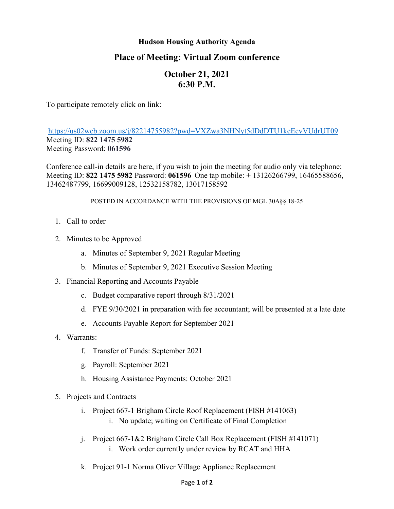### **Hudson Housing Authority Agenda**

## **Place of Meeting: Virtual Zoom conference**

# **October 21, 2021 6:30 P.M.**

To participate remotely click on link:

<https://us02web.zoom.us/j/82214755982?pwd=VXZwa3NHNyt5dDdDTU1kcEcvVUdrUT09> Meeting ID: **822 1475 5982** Meeting Password: **061596**

Conference call-in details are here, if you wish to join the meeting for audio only via telephone: Meeting ID: **822 1475 5982** Password: **061596** One tap mobile: + 13126266799, 16465588656, 13462487799, 16699009128, 12532158782, 13017158592

#### POSTED IN ACCORDANCE WITH THE PROVISIONS OF MGL 30A§§ 18-25

- 1. Call to order
- 2. Minutes to be Approved
	- a. Minutes of September 9, 2021 Regular Meeting
	- b. Minutes of September 9, 2021 Executive Session Meeting
- 3. Financial Reporting and Accounts Payable
	- c. Budget comparative report through 8/31/2021
	- d. FYE 9/30/2021 in preparation with fee accountant; will be presented at a late date
	- e. Accounts Payable Report for September 2021
- 4. Warrants:
	- f. Transfer of Funds: September 2021
	- g. Payroll: September 2021
	- h. Housing Assistance Payments: October 2021
- 5. Projects and Contracts
	- i. Project 667-1 Brigham Circle Roof Replacement (FISH #141063)
		- i. No update; waiting on Certificate of Final Completion
	- j. Project 667-1&2 Brigham Circle Call Box Replacement (FISH #141071) i. Work order currently under review by RCAT and HHA
	- k. Project 91-1 Norma Oliver Village Appliance Replacement